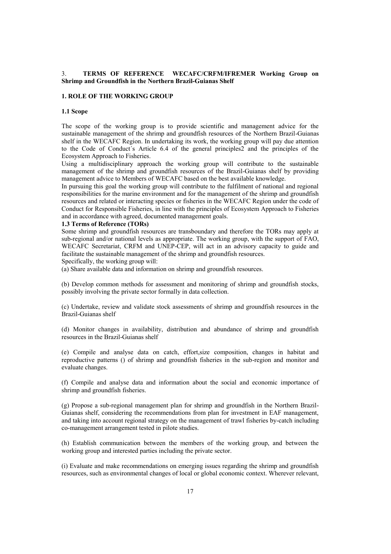### 3. **TERMS OF REFERENCE WECAFC/CRFM/IFREMER Working Group on Shrimp and Groundfish in the Northern Brazil-Guianas Shelf**

#### **1. ROLE OF THE WORKING GROUP**

## **1.1 Scope**

The scope of the working group is to provide scientific and management advice for the sustainable management of the shrimp and groundfish resources of the Northern Brazil-Guianas shelf in the WECAFC Region. In undertaking its work, the working group will pay due attention to the Code of Conduct´s Article 6.4 of the general principles2 and the principles of the Ecosystem Approach to Fisheries.

Using a multidisciplinary approach the working group will contribute to the sustainable management of the shrimp and groundfish resources of the Brazil-Guianas shelf by providing management advice to Members of WECAFC based on the best available knowledge.

In pursuing this goal the working group will contribute to the fulfilment of national and regional responsibilities for the marine environment and for the management of the shrimp and groundfish resources and related or interacting species or fisheries in the WECAFC Region under the code of Conduct for Responsible Fisheries, in line with the principles of Ecosystem Approach to Fisheries and in accordance with agreed, documented management goals.

#### **1.3 Terms of Reference (TORs)**

Some shrimp and groundfish resources are transboundary and therefore the TORs may apply at sub-regional and/or national levels as appropriate. The working group, with the support of FAO, WECAFC Secretariat, CRFM and UNEP-CEP, will act in an advisory capacity to guide and facilitate the sustainable management of the shrimp and groundfish resources.

Specifically, the working group will:

(a) Share available data and information on shrimp and groundfish resources.

(b) Develop common methods for assessment and monitoring of shrimp and groundfish stocks, possibly involving the private sector formally in data collection.

(c) Undertake, review and validate stock assessments of shrimp and groundfish resources in the Brazil-Guianas shelf

(d) Monitor changes in availability, distribution and abundance of shrimp and groundfish resources in the Brazil-Guianas shelf

(e) Compile and analyse data on catch, effort,size composition, changes in habitat and reproductive patterns () of shrimp and groundfish fisheries in the sub-region and monitor and evaluate changes.

(f) Compile and analyse data and information about the social and economic importance of shrimp and groundfish fisheries.

(g) Propose a sub-regional management plan for shrimp and groundfish in the Northern Brazil-Guianas shelf, considering the recommendations from plan for investment in EAF management, and taking into account regional strategy on the management of trawl fisheries by-catch including co-management arrangement tested in pilote studies.

(h) Establish communication between the members of the working group, and between the working group and interested parties including the private sector.

(i) Evaluate and make recommendations on emerging issues regarding the shrimp and groundfish resources, such as environmental changes of local or global economic context. Wherever relevant,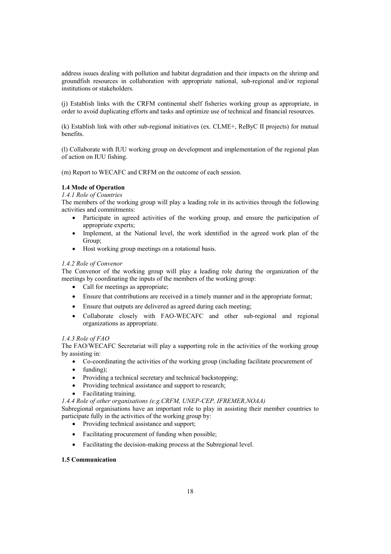address issues dealing with pollution and habitat degradation and their impacts on the shrimp and groundfish resources in collaboration with appropriate national, sub-regional and/or regional institutions or stakeholders.

(j) Establish links with the CRFM continental shelf fisheries working group as appropriate, in order to avoid duplicating efforts and tasks and optimize use of technical and financial resources.

(k) Establish link with other sub-regional initiatives (ex. CLME+, ReByC II projects) for mutual benefits.

(l) Collaborate with IUU working group on development and implementation of the regional plan of action on IUU fishing.

(m) Report to WECAFC and CRFM on the outcome of each session.

## **1.4 Mode of Operation**

*1.4.1 Role of Countries* 

The members of the working group will play a leading role in its activities through the following activities and commitments:

- Participate in agreed activities of the working group, and ensure the participation of appropriate experts;
- Implement, at the National level, the work identified in the agreed work plan of the Group;
- Host working group meetings on a rotational basis.

#### *1.4.2 Role of Convenor*

The Convenor of the working group will play a leading role during the organization of the meetings by coordinating the inputs of the members of the working group:

- Call for meetings as appropriate;
- Ensure that contributions are received in a timely manner and in the appropriate format;
- Ensure that outputs are delivered as agreed during each meeting;
- Collaborate closely with FAO-WECAFC and other sub-regional and regional organizations as appropriate.

#### *1.4.3 Role of FAO*

The FAO/WECAFC Secretariat will play a supporting role in the activities of the working group by assisting in:

- Co-coordinating the activities of the working group (including facilitate procurement of
- $\bullet$  funding);
- Providing a technical secretary and technical backstopping;
- Providing technical assistance and support to research;
- Facilitating training.
- *1.4.4 Role of other organisations (e.g.CRFM, UNEP-CEP, IFREMER,NOAA)*

Subregional organisations have an important role to play in assisting their member countries to participate fully in the activities of the working group by:

- Providing technical assistance and support;
- Facilitating procurement of funding when possible;
- Facilitating the decision-making process at the Subregional level.

#### **1.5 Communication**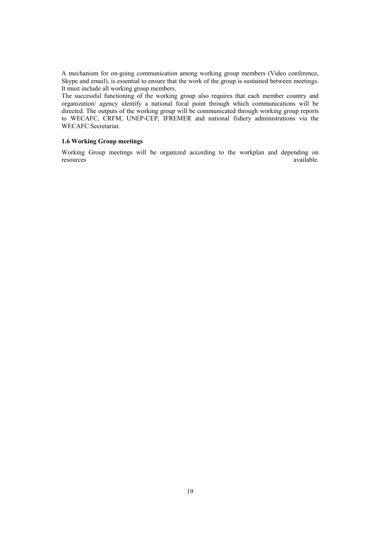A mechanism for on-going communication among working group members (Video conference, Skype and email), is essential to ensure that the work of the group is sustained between meetings. It must include all working group members.

The successful functioning of the working group also requires that each member country and organization/ agency identify a national focal point through which communications will be directed. The outputs of the working group will be communicated through working group reports to WECAFC, CRFM, UNEP-CEP, IFREMER and national fishery administrations via the WECAFC Secretariat.

## **1.6 Working Group meetings**

Working Group meetings will be organized according to the workplan and depending on resources available.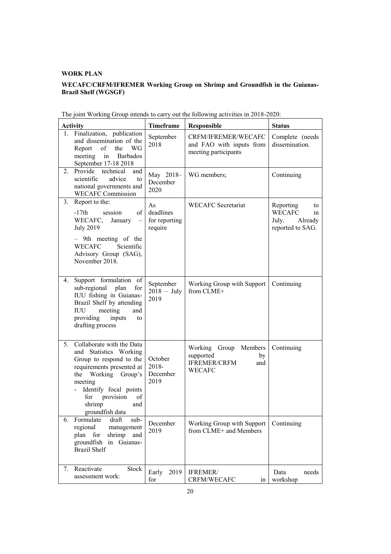## **WORK PLAN**

# **WECAFC/CRFM/IFREMER Working Group on Shrimp and Groundfish in the Guianas-Brazil Shelf (WGSGF)**

| <b>Activity</b> |                                                                                                                                                                                                                                         | <b>Timeframe</b>                            | <b>Responsible</b>                                                               | <b>Status</b>                                                                  |
|-----------------|-----------------------------------------------------------------------------------------------------------------------------------------------------------------------------------------------------------------------------------------|---------------------------------------------|----------------------------------------------------------------------------------|--------------------------------------------------------------------------------|
| 1.              | Finalization, publication<br>and dissemination of the<br>Report<br>the<br>WG<br>of<br>meeting<br>Barbados<br>in<br>September 17-18 2018                                                                                                 | September<br>2018                           | CRFM/IFREMER/WECAFC<br>and FAO with inputs from<br>meeting participants          | Complete (needs<br>dissemination.                                              |
|                 | 2. Provide technical<br>and<br>scientific<br>advice<br>to<br>national governments and<br><b>WECAFC Commission</b>                                                                                                                       | May 2018-<br>December<br>2020               | WG members;                                                                      | Continuing                                                                     |
| 3.              | Report to the:<br>$-17th$<br>of<br>session<br>WECAFC,<br>January<br>$\overline{\phantom{m}}$<br><b>July 2019</b><br>- 9th meeting of the<br><b>WECAFC</b><br>Scientific<br>Advisory Group (SAG),<br>November 2018.                      | As<br>deadlines<br>for reporting<br>require | <b>WECAFC</b> Secretariat                                                        | Reporting<br>to<br><b>WECAFC</b><br>in<br>Already<br>July.<br>reported to SAG. |
| 4.              | Support formulation of<br>sub-regional<br>plan<br>for<br>IUU fishing in Guianas-<br>Brazil Shelf by attending<br>IUU<br>meeting<br>and<br>providing<br>inputs<br>to<br>drafting process                                                 | September<br>$2018 - July$<br>2019          | Working Group with Support<br>from CLME+                                         | Continuing                                                                     |
| 5 <sub>1</sub>  | Collaborate with the Data<br>and Statistics Working<br>Group to respond to the<br>requirements presented at<br>Working Group's<br>the<br>meeting<br>Identify focal points<br>provision<br>of<br>for<br>shrimp<br>and<br>groundfish data | October<br>2018-<br>December<br>2019        | Working Group Members<br>supported<br>by<br><b>IFREMER/CRFM</b><br>and<br>WECAFC | Continuing                                                                     |
| 6.              | Formulate<br>draft<br>sub-<br>regional<br>management<br>plan for<br>shrimp<br>and<br>groundfish in Guianas-<br><b>Brazil Shelf</b>                                                                                                      | December<br>2019                            | Working Group with Support<br>from CLME+ and Members                             | Continuing                                                                     |
| 7.              | Reactivate<br>Stock<br>assessment work:                                                                                                                                                                                                 | 2019<br>Early<br>for                        | IFREMER/<br>CRFM/WECAFC<br>in                                                    | Data<br>needs<br>workshop                                                      |

The joint Working Group intends to carry out the following activities in 2018-2020: